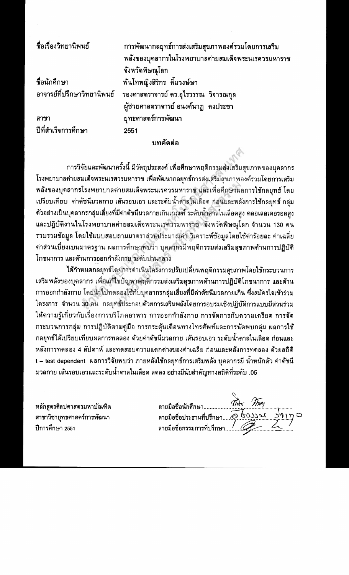| ชื่อเรื่องวิทยานิพนธ์ | การพัฒนากลยุทธ์การส่งเสริมสุขภาพองค์รวมโดยการเสริม               |
|-----------------------|------------------------------------------------------------------|
|                       | พลังของบุคลากรในโรงพยาบาลค่ายสมเด็จพระนเรศวรมหาราช               |
|                       | จังหวัดพิษณุโลก                                                  |
| ชื่อนักศึกษา          | พันโทหญิงสิริกร คิ้มวงษ์ษา                                       |
|                       | อาจารย์ที่ปรึกษาวิทยานิพนธ์ รองศาสตราจารย์ ดร.อุไรวรรณ วิจารณกุล |
|                       | ผู้ช่วยศาสตราจารย์ อนงค์นาฏ  คงประชา                             |
| สาขา                  | ยุทธศาสตร์การพัฒนา                                               |
| ปีที่สำเร็จการศึกษา   | 2551                                                             |
| บทคัดย่อ              |                                                                  |

การวิจัยและพัฒนาครั้งนี้ มีวัดถุประสงค์ เพื่อศึกษาพฤดิกรรมส่งเสริมสุขภาพของบุคลากร โรงพยาบาลค่ายสมเด็จพระนเรศวรมหาราช เพื่อพัฒนากลยุทธ์การส่งเสริมสุขภาพองค์รวมโดยการเสริม พลังของบุคลากรโรงพยาบาลค่ายสมเด็จพระนเรศวรมหาราช และเพื่อศึกษาผลการใช้กลยุทธ์ โดย ้เปรียบเทียบ ค่าดัชนีมวลกาย เส้นรอบเอว และระดับน้ำตาลในเลือด ก่อนและหลังการใช้กลยุทธ์ กลุ่ม ้ตัวอย่างเป็นบุคลากรกลุ่มเสี่ยงที่มีค่าตัชนีมวลกายเกินเกณฑ์ ระดับน้ำดาลในเลือดสูง คลอเลสเดอรอลสูง และปฏิบัติงานในโรงพยาบาลค่ายสมเด็จพระนเรศวรมหาราช จังหวัดพิษณุโลก จำนวน 130 คน รวบรวมข้อมูล โดยใช้แบบสอบถามมาดราส่วนประมาณค่า วิเคราะห์ข้อมูลโดยใช้ค่าร้อยละ ค่าเฉลี่ย ค่าส่วนเบี่ยงเบนมาดรฐาน ผลการศึกษาพบว่า บุคลากรมีพฤติกรรมส่งเสริมสุขภาพด้านการปฏิบัติ โภชนาการ และด้านการออกกำลังกาย ระดับปานกลาง

ได้กำหนดกลยุทธ์โดยการดำเนินโครงการปรับเปลี่ยนพฤติกรรมสุขภาพโดยใช้กระบวนการ เสริมพลังของบุคลากร เพื่อแก้ไขปัญหาพฤติกรรมส่งเสริมสุขภาพด้านการปฏิบัติโภชนาการ และด้าน การออกกำลังกาย โดยนำไปทดลองใช้กับบุคลากรกลุ่มเสี่ยงที่มีค่าดัชนีมวลกายเกิน ซึ่งสมัครใจเข้าร่วม โครงการ จำนวน 30 คน กลยุทธ์ประกอบด้วยการเสริมพลังโดยการอบรมเชิงปฏิบัติการแบบมีส่วนร่วม ให้ความรู้เกี่ยวกับเรื่องการบริโภคอาหาร การออกกำลังกาย การจัดการกับความเครียด การจัด กระบวนการกลุ่ม การปฏิบัติตามคู่มือ การกระดุ้นเดือนทางโทรศัพท์และการนัดพบกลุ่ม ผลการใช้ ึกลยุทธ์ได้เปรียบเทียบผลการทดลอง ด้วยค่าดัชนีมวลกาย เส้นรอบเอว ระดับน้ำดาลในเลือด ก่อนและ หลังการทดลอง 4 สัปดาห์ และทดสอบความแดกต่างของค่าเฉลี่ย ก่อนและหลังการทดลอง ด้วยสถิดิ t – test dependent ผลการวิจัยพบว่า ภายหลังใช้กลยุทธ์การเสริมพลัง บุคลากรมี น้ำหนักดัว ค่าดัชนี ุ่มวลกาย เส้นรอบเอวและระดับน้ำดาลในเลือด ลดลง อย่างมีนัยสำคัญทางสถิติที่ระดับ .05

หลักสูตรศิลปศาสตรมหาบัณฑิต สาขาวิชายุทธศาสตร์การพัฒนา ปีการศึกษา 2551